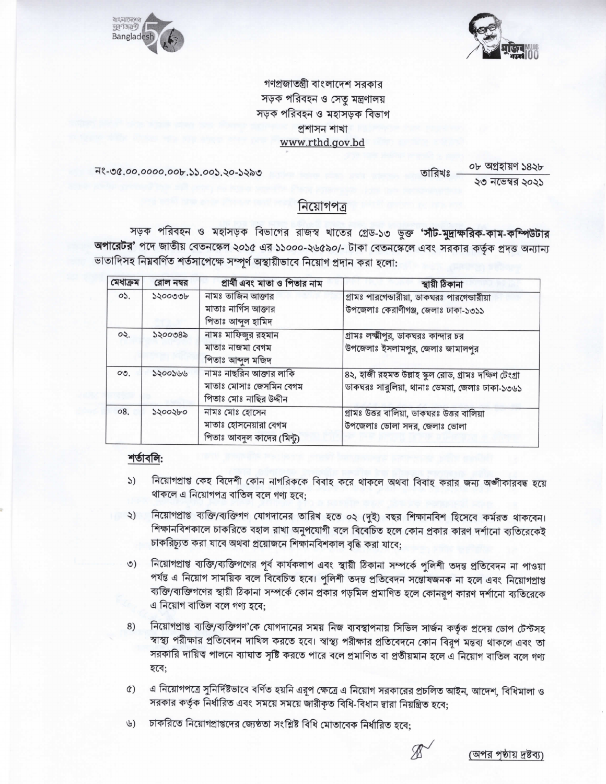



গণপ্রজাতন্ত্রী বাংলাদেশ সরকার সড়ক পরিবহন ও সেতু মন্ত্রণালয় সড়ক পরিবহন ও মহাসড়ক বিভাগ প্ৰশাসন শাখা www.rthd.gov.bd

নং-৩৫.০০.০০০০.০০৮.১১.০০১.২০-১২৯৩

০৮ অগ্ৰহায়ণ ১৪২৮ তারিখঃ ২৩ নভেম্বর ২০২১

নিয়োগপত্ৰ

সড়ক পরিবহন ও মহাসড়ক বিভাগের রাজস্ব খাতের গ্রেড-১৩ ভুক্ত 'সীট-মুদ্রাক্ষরিক-কাম-কম্পিউটার অপারেটর' পদে জাতীয় বেতনস্কেল ২০১৫ এর ১১০০০-২৬৫৯০/- টাকা বেতনস্কেলে এবং সরকার কর্তৃক প্রদত্ত অন্যান্য ভাতাদিসহ নিয়বর্ণিত শর্তসাপেক্ষে সম্পূর্ণ অস্থায়ীভাবে নিয়োগ প্রদান করা হলো:

| মেধাক্ৰম       | রোল নম্বর | প্রার্থী এবং মাতা ও পিতার নাম              | স্থায়ী ঠিকানা                                        |
|----------------|-----------|--------------------------------------------|-------------------------------------------------------|
| O <sub>2</sub> | ১২০০৩৩৮   | নামঃ তাজিন আক্তার                          | গ্রামঃ পারগেন্ডারীয়া, ডাকঘরঃ পারগেন্ডারীয়া          |
|                |           | মাতাঃ নার্গিস আক্তার<br>পিতাঃ আব্দুল হামিদ | উপজেলাঃ কেরাণীগঞ্জ, জেলাঃ ঢাকা-১৩১১                   |
| OQ             | ১২০০৩৪৯   | নামঃ মাফিজুর রহমান                         | গ্রামঃ লক্ষ্মীপুর, ডাকঘরঃ কান্দার চর                  |
|                |           | মাতাঃ নাজমা বেগম                           | উপজেলাঃ ইসলামপুর, জেলাঃ জামালপুর                      |
|                |           | পিতাঃ আব্দুল মজিদ                          |                                                       |
| OQ             | 2200266   | নামঃ নাছরিন আক্তার লাকি                    | ৪২, হাজী রহমত উল্লাহ স্কুল রোড, গ্রামঃ দক্ষিণ টেংগ্রা |
|                |           | মাতাঃ মোসাঃ জেসমিন বেগম                    | ডাকঘরঃ সারুলিয়া, থানাঃ ডেমরা, জেলাঃ ঢাকা-১৩৬১        |
|                |           | পিতাঃ মোঃ নাছির উদ্দীন                     |                                                       |
| 08.            | ১২০০২৮০   | নামঃ মোঃ হোসেন                             | গ্রামঃ উত্তর বালিয়া, ডাকঘরঃ উত্তর বালিয়া            |
|                |           | মাতাঃ হোসনেয়ারা বেগম                      | উপজেলাঃ ভোলা সদর, জেলাঃ ভোলা                          |
|                |           | পিতাঃ আবদুল কাদের (মিন্টু)                 |                                                       |

## শর্তাবলি:

- নিয়োগপ্রাপ্ত কেহ বিদেশী কোন নাগরিককে বিবাহ করে থাকলে অথবা বিবাহ করার জন্য অঙ্গীকারবদ্ধ হয়ে  $\mathcal{L}$ থাকলে এ নিয়োগপত্র বাতিল বলে গণ্য হবে;
- নিয়োগপ্রাপ্ত ব্যক্তি/ব্যক্তিগণ যোগদানের তারিখ হতে ০২ (দুই) বছর শিক্ষানবিশ হিসেবে কর্মরত থাকবেন।  $\zeta$ শিক্ষানবিশকালে চাকরিতে বহাল রাখা অনুপযোগী বলে বিবেচিত হলে কোন প্রকার কারণ দর্শানো ব্যতিরেকেই চাকরিচ্যূত করা যাবে অথবা প্রয়োজনে শিক্ষানবিশকাল বৃদ্ধি করা যাবে;
- নিয়োগপ্রাপ্ত ব্যক্তি/ব্যক্তিগণের পূর্ব কার্যকলাপ এবং স্থায়ী ঠিকানা সম্পর্কে পুলিশী তদন্ত প্রতিবেদন না পাওয়া  $\circ)$ পর্যন্ত এ নিয়োগ সাময়িক বলে বিবেচিত হবে। পুলিশী তদন্ত প্রতিবেদন সন্তোষজনক না হলে এবং নিয়োগপ্রাপ্ত ব্যক্তি/ব্যক্তিগণের স্থায়ী ঠিকানা সম্পর্কে কোন প্রকার গড়মিল প্রমাণিত হলে কোনরূপ কারণ দর্শানো ব্যতিরেকে এ নিয়োগ বাতিল বলে গণ্য হবে:
- নিয়োগপ্রাপ্ত ব্যক্তি/ব্যক্তিগণ'কে যোগদানের সময় নিজ ব্যবস্থাপনায় সিভিল সার্জন কর্তৃক প্রদেয় ডোপ টেস্টসহ 8) স্বাস্থ্য পরীক্ষার প্রতিবেদন দাখিল করতে হবে। স্বাস্থ্য পরীক্ষার প্রতিবেদনে কোন বিরূপ মন্তব্য থাকলে এবং তা সরকারি দায়িত্ব পালনে ব্যাঘাত সৃষ্টি করতে পারে বলে প্রমাণিত বা প্রতীয়মান হলে এ নিয়োগ বাতিল বলে গণ্য হবে;
- এ নিয়োগপত্রে সুনির্দিষ্টভাবে বর্ণিত হয়নি এরূপ ক্ষেত্রে এ নিয়োগ সরকারের প্রচলিত আইন, আদেশ, বিধিমালা ও  $(3)$ সরকার কর্তৃক নির্ধারিত এবং সময়ে সময়ে জারীকৃত বিধি-বিধান দ্বারা নিয়ন্ত্রিত হবে;
- চাকরিতে নিয়োগপ্রাপ্তদের জ্যেষ্ঠতা সংশ্লিষ্ট বিধি মোতাবেক নির্ধারিত হবে:  $(b)$